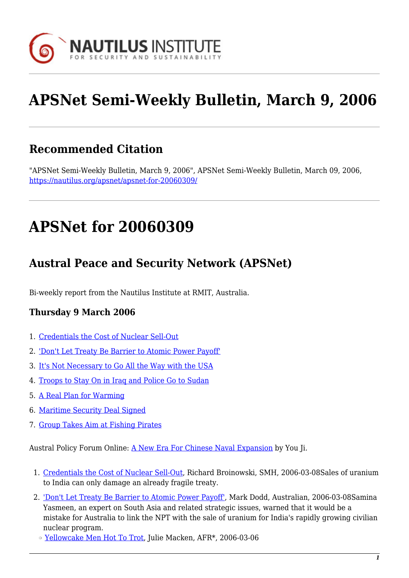

# **APSNet Semi-Weekly Bulletin, March 9, 2006**

## **Recommended Citation**

"APSNet Semi-Weekly Bulletin, March 9, 2006", APSNet Semi-Weekly Bulletin, March 09, 2006, <https://nautilus.org/apsnet/apsnet-for-20060309/>

## **APSNet for 20060309**

## **Austral Peace and Security Network (APSNet)**

Bi-weekly report from the Nautilus Institute at RMIT, Australia.

#### **Thursday 9 March 2006**

- 1. [Credentials the Cost of Nuclear Sell-Out](#page--1-0)
- 2. ['Don't Let Treaty Be Barrier to Atomic Power Payoff'](#page--1-0)
- 3. [It's Not Necessary to Go All the Way with the USA](#page--1-0)
- 4. [Troops to Stay On in Iraq and Police Go to Sudan](#page--1-0)
- 5. [A Real Plan for Warming](#page--1-0)
- 6. [Maritime Security Deal Signed](#page--1-0)
- 7. [Group Takes Aim at Fishing Pirates](#page--1-0)

Austral Policy Forum Online: [A New Era For Chinese Naval Expansion](#page--1-0) by You Ji.

- 1. [Credentials the Cost of Nuclear Sell-Out](http://www.smh.com.au/news/opinion/credentials-the-cost-of-nuclear-sellout/2006/03/07/1141701508506.html), Richard Broinowski, SMH, 2006-03-08Sales of uranium to India can only damage an already fragile treaty.
- 2. ['Don't Let Treaty Be Barrier to Atomic Power Payoff'](http://www.theaustralian.news.com.au/common/story_page/0,5744,18384735^31477,00.html), Mark Dodd, Australian, 2006-03-08Samina Yasmeen, an expert on South Asia and related strategic issues, warned that it would be a mistake for Australia to link the NPT with the sale of uranium for India's rapidly growing civilian nuclear program.
	- ❍ [Yellowcake Men Hot To Trot](http://newsstore.fairfax.com.au/apps/newsSearch.ac?ac=search&sy=afr&ss=AFR&dt=selectRange&so=relevance&sp=0&rc=10&dr=1month&pb=fin&sf=article&kw=Yellowcake Men Hot To Trot&go=go), Julie Macken, AFR\*, 2006-03-06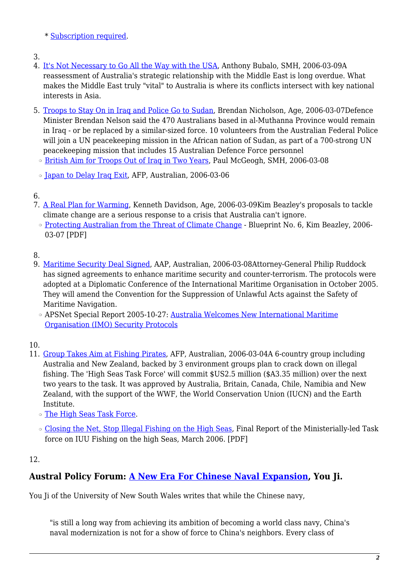\* [Subscription required.](http://nautilus.org/subscription.html)

- 3.
- 4. [It's Not Necessary to Go All the Way with the USA,](http://www.smh.com.au/news/opinion/its-not-necessary-to-go-all-the-way-with-the-usa/2006/03/08/1141701574027.html) Anthony Bubalo, SMH, 2006-03-09A reassessment of Australia's strategic relationship with the Middle East is long overdue. What makes the Middle East truly "vital" to Australia is where its conflicts intersect with key national interests in Asia.
- 5. [Troops to Stay On in Iraq and Police Go to Sudan,](http://www.theage.com.au/news/national/troops-to-stay-on-for-another-year-nelson/2006/03/06/1141493611331.html) Brendan Nicholson, Age, 2006-03-07Defence Minister Brendan Nelson said the 470 Australians based in al-Muthanna Province would remain in Iraq - or be replaced by a similar-sized force. 10 volunteers from the Australian Federal Police will join a UN peacekeeping mission in the African nation of Sudan, as part of a 700-strong UN peacekeeping mission that includes 15 Australian Defence Force personnel
- ❍ [British Aim for Troops Out of Iraq in Two Years,](http://www.smh.com.au/news/world/british-aim-for-troops-out-of-iraq-in-two-years/2006/03/07/1141701509302.html) Paul McGeogh, SMH, 2006-03-08
- ❍ [Japan to Delay Iraq Exit,](http://www.theaustralian.news.com.au/common/story_page/0,5744,18373268^31477,00.html) AFP, Australian, 2006-03-06
- 6.
- 7. [A Real Plan for Warming,](http://www.theage.com.au/news/kenneth-davidson/a-real-plan-for-warming/2006/03/08/1141701570867.html) Kenneth Davidson, Age, 2006-03-09Kim Beazley's proposals to tackle climate change are a serious response to a crisis that Australia can't ignore.
	- ❍ [Protecting Australian from the Threat of Climate Change](http://www.alp.org.au/download/now/climate_change_blueprint_no_6.pdf) Blueprint No. 6, Kim Beazley, 2006- 03-07 [PDF]

#### 8.

- 9. [Maritime Security Deal Signed](http://www.theaustralian.news.com.au/common/story_page/0,5744,18389867^31477,00.html), AAP, Australian, 2006-03-08Attorney-General Philip Ruddock has signed agreements to enhance maritime security and counter-terrorism. The protocols were adopted at a Diplomatic Conference of the International Maritime Organisation in October 2005. They will amend the Convention for the Suppression of Unlawful Acts against the Safety of Maritime Navigation.
	- ❍ APSNet Special Report 2005-10-27: [Australia Welcomes New International Maritime](http://nautilus.rmit.edu.au/2005/20051027.html#n8) [Organisation \(IMO\) Security Protocols](http://nautilus.rmit.edu.au/2005/20051027.html#n8)
- 10.
- 11. [Group Takes Aim at Fishing Pirates,](http://www.theaustralian.news.com.au/common/story_page/0,5744,18344687^30417,00.html) AFP, Australian, 2006-03-04A 6-country group including Australia and New Zealand, backed by 3 environment groups plan to crack down on illegal fishing. The 'High Seas Task Force' will commit \$US2.5 million (\$A3.35 million) over the next two years to the task. It was approved by Australia, Britain, Canada, Chile, Namibia and New Zealand, with the support of the WWF, the World Conservation Union (IUCN) and the Earth Institute.
	- ❍ [The High Seas Task Force](http://www.high-seas.org/).
	- ❍ [Closing the Net, Stop Illegal Fishing on the High Seas,](http://www.high-seas.org/docs/HSTFfinal/HSTFFINAL_web.pdf) Final Report of the Ministerially-led Task force on IUU Fishing on the high Seas, March 2006. [PDF]

#### 12.

### **Austral Policy Forum: [A New Era For Chinese Naval Expansion,](http://nautilus.org/publications/essays/apsnet/policy-forum/2006/0606a-you-ji.html) You Ji.**

You Ji of the University of New South Wales writes that while the Chinese navy,

"is still a long way from achieving its ambition of becoming a world class navy, China's naval modernization is not for a show of force to China's neighbors. Every class of